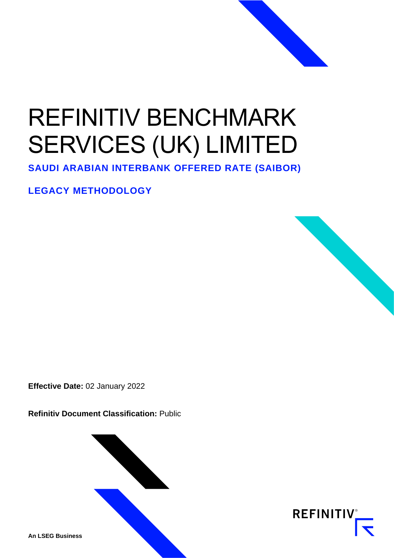# REFINITIV BENCHMARK SERVICES (UK) LIMITED

**SAUDI ARABIAN INTERBANK OFFERED RATE (SAIBOR)**

**LEGACY METHODOLOGY**



**Refinitiv Document Classification:** Public



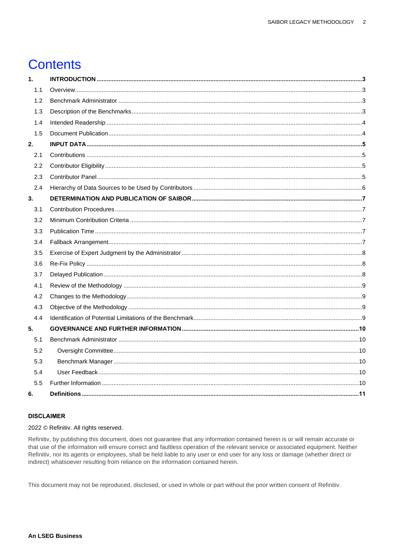# **Contents**

| 1.  |  |
|-----|--|
| 1.1 |  |
| 1.2 |  |
| 1.3 |  |
| 1.4 |  |
| 1.5 |  |
| 2.  |  |
| 2.1 |  |
| 2.2 |  |
| 2.3 |  |
| 2.4 |  |
| 3.  |  |
| 3.1 |  |
| 3.2 |  |
| 3.3 |  |
| 3.4 |  |
| 3.5 |  |
| 3.6 |  |
| 3.7 |  |
| 4.1 |  |
| 4.2 |  |
| 4.3 |  |
| 4.4 |  |
| 5.  |  |
| 5.1 |  |
| 5.2 |  |
| 5.3 |  |
| 5.4 |  |
| 5.5 |  |
| 6.  |  |

#### **DISCLAIMER**

2022 © Refinitiv. All rights reserved.

Refinitiv, by publishing this document, does not guarantee that any information contained herein is or will remain accurate or that use of the information will ensure correct and faultless operation of the relevant service or associated equipment. Neither Refinitiv, nor its agents or employees, shall be held liable to any user or end user for any loss or damage (whether direct or indirect) whatsoever resulting from reliance on the information contained herein.

This document may not be reproduced, disclosed, or used in whole or part without the prior written consent of Refinitiv.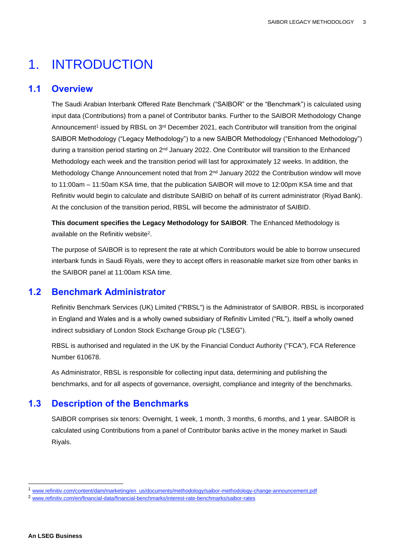# <span id="page-2-0"></span>1. INTRODUCTION

#### <span id="page-2-1"></span>**1.1 Overview**

The Saudi Arabian Interbank Offered Rate Benchmark ("SAIBOR" or the "Benchmark") is calculated using input data (Contributions) from a panel of Contributor banks. Further to the SAIBOR Methodology Change Announcement<sup>1</sup> issued by RBSL on 3<sup>rd</sup> December 2021, each Contributor will transition from the original SAIBOR Methodology ("Legacy Methodology") to a new SAIBOR Methodology ("Enhanced Methodology") during a transition period starting on 2nd January 2022. One Contributor will transition to the Enhanced Methodology each week and the transition period will last for approximately 12 weeks. In addition, the Methodology Change Announcement noted that from  $2<sup>nd</sup>$  January 2022 the Contribution window will move to 11:00am – 11:50am KSA time, that the publication SAIBOR will move to 12:00pm KSA time and that Refinitiv would begin to calculate and distribute SAIBID on behalf of its current administrator (Riyad Bank). At the conclusion of the transition period, RBSL will become the administrator of SAIBID.

**This document specifies the Legacy Methodology for SAIBOR**. The Enhanced Methodology is available on the Refinitiv website<sup>2</sup>.

The purpose of SAIBOR is to represent the rate at which Contributors would be able to borrow unsecured interbank funds in Saudi Riyals, were they to accept offers in reasonable market size from other banks in the SAIBOR panel at 11:00am KSA time.

#### <span id="page-2-2"></span>**1.2 Benchmark Administrator**

Refinitiv Benchmark Services (UK) Limited ("RBSL") is the Administrator of SAIBOR. RBSL is incorporated in England and Wales and is a wholly owned subsidiary of Refinitiv Limited ("RL"), itself a wholly owned indirect subsidiary of London Stock Exchange Group plc ("LSEG").

RBSL is authorised and regulated in the UK by the Financial Conduct Authority ("FCA"), FCA Reference Number 610678.

As Administrator, RBSL is responsible for collecting input data, determining and publishing the benchmarks, and for all aspects of governance, oversight, compliance and integrity of the benchmarks.

# <span id="page-2-3"></span>**1.3 Description of the Benchmarks**

SAIBOR comprises six tenors: Overnight, 1 week, 1 month, 3 months, 6 months, and 1 year. SAIBOR is calculated using Contributions from a panel of Contributor banks active in the money market in Saudi Riyals.

<sup>1</sup> [www.refinitiv.com/content/dam/marketing/en\\_us/documents/methodology/saibor-methodology-change-announcement.pdf](http://www.refinitiv.com/content/dam/marketing/en_us/documents/methodology/saibor-methodology-change-announcement.pdf)

<sup>2</sup> [www.refinitiv.com/en/financial-data/financial-benchmarks/interest-rate-benchmarks/saibor-rates](http://www.refinitiv.com/en/financial-data/financial-benchmarks/interest-rate-benchmarks/saibor-rates)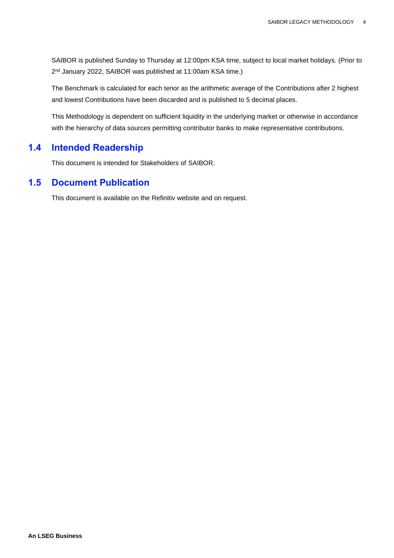SAIBOR is published Sunday to Thursday at 12:00pm KSA time, subject to local market holidays. (Prior to 2 nd January 2022, SAIBOR was published at 11:00am KSA time.)

The Benchmark is calculated for each tenor as the arithmetic average of the Contributions after 2 highest and lowest Contributions have been discarded and is published to 5 decimal places.

This Methodology is dependent on sufficient liquidity in the underlying market or otherwise in accordance with the hierarchy of data sources permitting contributor banks to make representative contributions.

### <span id="page-3-0"></span>**1.4 Intended Readership**

This document is intended for Stakeholders of SAIBOR.

### <span id="page-3-1"></span>**1.5 Document Publication**

This document is available on the Refinitiv website and on request.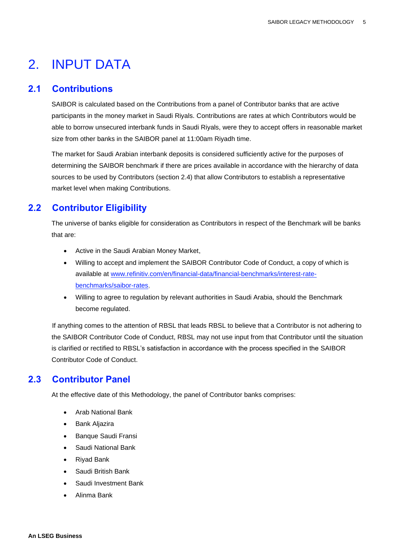# <span id="page-4-0"></span>2. INPUT DATA

#### <span id="page-4-1"></span>**2.1 Contributions**

SAIBOR is calculated based on the Contributions from a panel of Contributor banks that are active participants in the money market in Saudi Riyals. Contributions are rates at which Contributors would be able to borrow unsecured interbank funds in Saudi Riyals, were they to accept offers in reasonable market size from other banks in the SAIBOR panel at 11:00am Riyadh time.

The market for Saudi Arabian interbank deposits is considered sufficiently active for the purposes of determining the SAIBOR benchmark if there are prices available in accordance with the hierarchy of data sources to be used by Contributors (section 2.4) that allow Contributors to establish a representative market level when making Contributions.

# <span id="page-4-2"></span>**2.2 Contributor Eligibility**

The universe of banks eligible for consideration as Contributors in respect of the Benchmark will be banks that are:

- Active in the Saudi Arabian Money Market,
- Willing to accept and implement the SAIBOR Contributor Code of Conduct, a copy of which is available at [www.refinitiv.com/en/financial-data/financial-benchmarks/interest-rate](http://www.refinitiv.com/en/financial-data/financial-benchmarks/interest-rate-benchmarks/saibor-rates)[benchmarks/saibor-rates,](http://www.refinitiv.com/en/financial-data/financial-benchmarks/interest-rate-benchmarks/saibor-rates)
- Willing to agree to regulation by relevant authorities in Saudi Arabia, should the Benchmark become regulated.

If anything comes to the attention of RBSL that leads RBSL to believe that a Contributor is not adhering to the SAIBOR Contributor Code of Conduct, RBSL may not use input from that Contributor until the situation is clarified or rectified to RBSL's satisfaction in accordance with the process specified in the SAIBOR Contributor Code of Conduct.

# <span id="page-4-3"></span>**2.3 Contributor Panel**

At the effective date of this Methodology, the panel of Contributor banks comprises:

- Arab National Bank
- Bank Aljazira
- Banque Saudi Fransi
- Saudi National Bank
- Riyad Bank
- Saudi British Bank
- Saudi Investment Bank
- Alinma Bank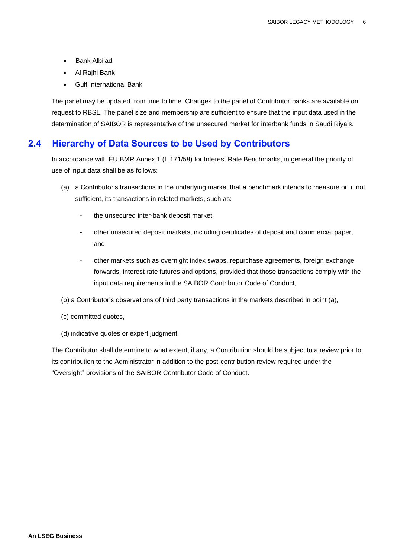- Bank Albilad
- Al Rajhi Bank
- Gulf International Bank

The panel may be updated from time to time. Changes to the panel of Contributor banks are available on request to RBSL. The panel size and membership are sufficient to ensure that the input data used in the determination of SAIBOR is representative of the unsecured market for interbank funds in Saudi Riyals.

# <span id="page-5-0"></span>**2.4 Hierarchy of Data Sources to be Used by Contributors**

In accordance with EU BMR Annex 1 (L 171/58) for Interest Rate Benchmarks, in general the priority of use of input data shall be as follows:

- (a) a Contributor's transactions in the underlying market that a benchmark intends to measure or, if not sufficient, its transactions in related markets, such as:
	- the unsecured inter-bank deposit market
	- other unsecured deposit markets, including certificates of deposit and commercial paper, and
	- other markets such as overnight index swaps, repurchase agreements, foreign exchange forwards, interest rate futures and options, provided that those transactions comply with the input data requirements in the SAIBOR Contributor Code of Conduct,
- (b) a Contributor's observations of third party transactions in the markets described in point (a),
- (c) committed quotes,
- (d) indicative quotes or expert judgment.

The Contributor shall determine to what extent, if any, a Contribution should be subject to a review prior to its contribution to the Administrator in addition to the post-contribution review required under the "Oversight" provisions of the SAIBOR Contributor Code of Conduct.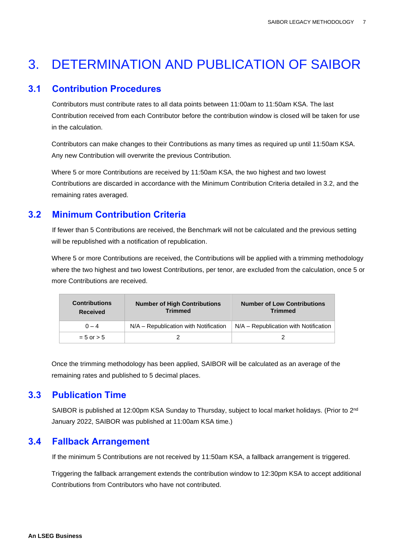# <span id="page-6-0"></span>3. DETERMINATION AND PUBLICATION OF SAIBOR

### <span id="page-6-1"></span>**3.1 Contribution Procedures**

Contributors must contribute rates to all data points between 11:00am to 11:50am KSA. The last Contribution received from each Contributor before the contribution window is closed will be taken for use in the calculation.

Contributors can make changes to their Contributions as many times as required up until 11:50am KSA. Any new Contribution will overwrite the previous Contribution.

Where 5 or more Contributions are received by 11:50am KSA, the two highest and two lowest Contributions are discarded in accordance with the Minimum Contribution Criteria detailed in 3.2, and the remaining rates averaged.

# <span id="page-6-2"></span>**3.2 Minimum Contribution Criteria**

If fewer than 5 Contributions are received, the Benchmark will not be calculated and the previous setting will be republished with a notification of republication.

Where 5 or more Contributions are received, the Contributions will be applied with a trimming methodology where the two highest and two lowest Contributions, per tenor, are excluded from the calculation, once 5 or more Contributions are received.

| <b>Contributions</b><br>Received | <b>Number of High Contributions</b><br><b>Trimmed</b> | <b>Number of Low Contributions</b><br><b>Trimmed</b> |
|----------------------------------|-------------------------------------------------------|------------------------------------------------------|
| $0 - 4$                          | N/A – Republication with Notification                 | N/A – Republication with Notification                |
| $= 5$ or $> 5$                   |                                                       |                                                      |

Once the trimming methodology has been applied, SAIBOR will be calculated as an average of the remaining rates and published to 5 decimal places.

# <span id="page-6-3"></span>**3.3 Publication Time**

SAIBOR is published at 12:00pm KSA Sunday to Thursday, subject to local market holidays. (Prior to 2<sup>nd</sup> January 2022, SAIBOR was published at 11:00am KSA time.)

# <span id="page-6-4"></span>**3.4 Fallback Arrangement**

If the minimum 5 Contributions are not received by 11:50am KSA, a fallback arrangement is triggered.

Triggering the fallback arrangement extends the contribution window to 12:30pm KSA to accept additional Contributions from Contributors who have not contributed.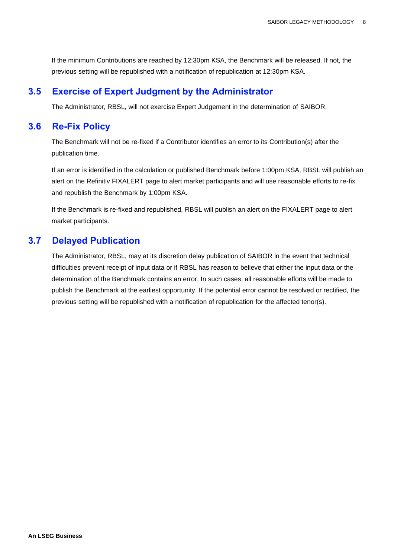If the minimum Contributions are reached by 12:30pm KSA, the Benchmark will be released. If not, the previous setting will be republished with a notification of republication at 12:30pm KSA.

#### <span id="page-7-0"></span>**3.5 Exercise of Expert Judgment by the Administrator**

The Administrator, RBSL, will not exercise Expert Judgement in the determination of SAIBOR.

#### <span id="page-7-1"></span>**3.6 Re-Fix Policy**

The Benchmark will not be re-fixed if a Contributor identifies an error to its Contribution(s) after the publication time.

If an error is identified in the calculation or published Benchmark before 1:00pm KSA, RBSL will publish an alert on the Refinitiv FIXALERT page to alert market participants and will use reasonable efforts to re-fix and republish the Benchmark by 1:00pm KSA.

If the Benchmark is re-fixed and republished, RBSL will publish an alert on the FIXALERT page to alert market participants.

### <span id="page-7-2"></span>**3.7 Delayed Publication**

The Administrator, RBSL, may at its discretion delay publication of SAIBOR in the event that technical difficulties prevent receipt of input data or if RBSL has reason to believe that either the input data or the determination of the Benchmark contains an error. In such cases, all reasonable efforts will be made to publish the Benchmark at the earliest opportunity. If the potential error cannot be resolved or rectified, the previous setting will be republished with a notification of republication for the affected tenor(s).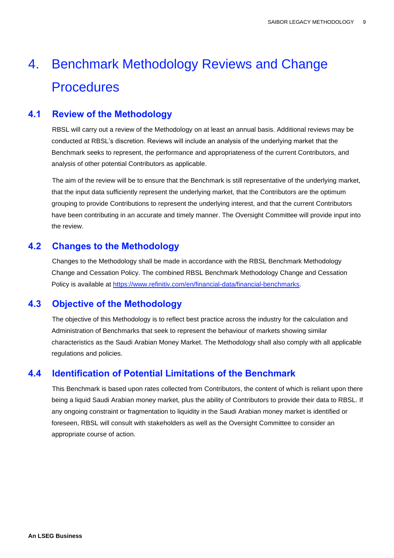# 4. Benchmark Methodology Reviews and Change **Procedures**

# <span id="page-8-0"></span>**4.1 Review of the Methodology**

RBSL will carry out a review of the Methodology on at least an annual basis. Additional reviews may be conducted at RBSL's discretion. Reviews will include an analysis of the underlying market that the Benchmark seeks to represent, the performance and appropriateness of the current Contributors, and analysis of other potential Contributors as applicable.

The aim of the review will be to ensure that the Benchmark is still representative of the underlying market, that the input data sufficiently represent the underlying market, that the Contributors are the optimum grouping to provide Contributions to represent the underlying interest, and that the current Contributors have been contributing in an accurate and timely manner. The Oversight Committee will provide input into the review.

# <span id="page-8-1"></span>**4.2 Changes to the Methodology**

Changes to the Methodology shall be made in accordance with the RBSL Benchmark Methodology Change and Cessation Policy. The combined RBSL Benchmark Methodology Change and Cessation Policy is available at [https://www.refinitiv.com/en/financial-data/financial-benchmarks.](https://www.refinitiv.com/en/financial-data/financial-benchmarks)

# <span id="page-8-2"></span>**4.3 Objective of the Methodology**

The objective of this Methodology is to reflect best practice across the industry for the calculation and Administration of Benchmarks that seek to represent the behaviour of markets showing similar characteristics as the Saudi Arabian Money Market. The Methodology shall also comply with all applicable regulations and policies.

# <span id="page-8-3"></span>**4.4 Identification of Potential Limitations of the Benchmark**

This Benchmark is based upon rates collected from Contributors, the content of which is reliant upon there being a liquid Saudi Arabian money market, plus the ability of Contributors to provide their data to RBSL. If any ongoing constraint or fragmentation to liquidity in the Saudi Arabian money market is identified or foreseen, RBSL will consult with stakeholders as well as the Oversight Committee to consider an appropriate course of action.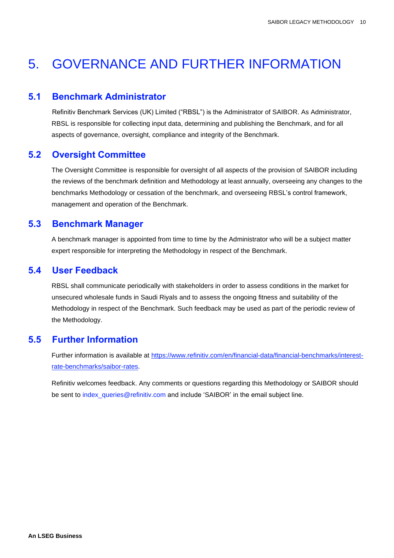# <span id="page-9-0"></span>5. GOVERNANCE AND FURTHER INFORMATION

#### <span id="page-9-1"></span>**5.1 Benchmark Administrator**

Refinitiv Benchmark Services (UK) Limited ("RBSL") is the Administrator of SAIBOR. As Administrator, RBSL is responsible for collecting input data, determining and publishing the Benchmark, and for all aspects of governance, oversight, compliance and integrity of the Benchmark.

# <span id="page-9-2"></span>**5.2 Oversight Committee**

The Oversight Committee is responsible for oversight of all aspects of the provision of SAIBOR including the reviews of the benchmark definition and Methodology at least annually, overseeing any changes to the benchmarks Methodology or cessation of the benchmark, and overseeing RBSL's control framework, management and operation of the Benchmark.

# <span id="page-9-3"></span>**5.3 Benchmark Manager**

A benchmark manager is appointed from time to time by the Administrator who will be a subject matter expert responsible for interpreting the Methodology in respect of the Benchmark.

# <span id="page-9-4"></span>**5.4 User Feedback**

RBSL shall communicate periodically with stakeholders in order to assess conditions in the market for unsecured wholesale funds in Saudi Riyals and to assess the ongoing fitness and suitability of the Methodology in respect of the Benchmark. Such feedback may be used as part of the periodic review of the Methodology.

# <span id="page-9-5"></span>**5.5 Further Information**

Further information is available at [https://www.refinitiv.com/en/financial-data/financial-benchmarks/interest](https://www.refinitiv.com/en/financial-data/financial-benchmarks/interest-rate-benchmarks/saibor-rates)[rate-benchmarks/saibor-rates.](https://www.refinitiv.com/en/financial-data/financial-benchmarks/interest-rate-benchmarks/saibor-rates)

Refinitiv welcomes feedback. Any comments or questions regarding this Methodology or SAIBOR should be sent to [index\\_queries@refinitiv.com](mailto:index_queries@refinitiv.com) and include 'SAIBOR' in the email subject line.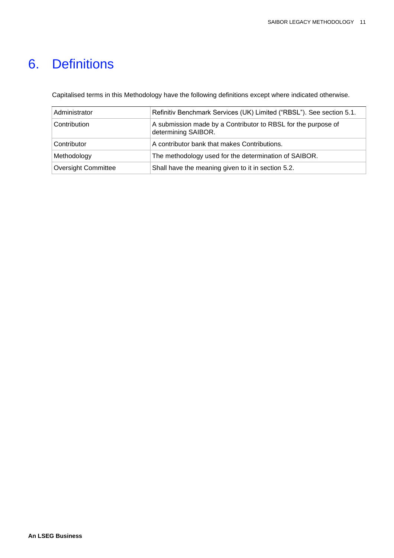# <span id="page-10-0"></span>6. Definitions

Capitalised terms in this Methodology have the following definitions except where indicated otherwise.

| Administrator              | Refinitiv Benchmark Services (UK) Limited ("RBSL"). See section 5.1.                 |  |
|----------------------------|--------------------------------------------------------------------------------------|--|
| Contribution               | A submission made by a Contributor to RBSL for the purpose of<br>determining SAIBOR. |  |
| Contributor                | A contributor bank that makes Contributions.                                         |  |
| Methodology                | The methodology used for the determination of SAIBOR.                                |  |
| <b>Oversight Committee</b> | Shall have the meaning given to it in section 5.2.                                   |  |